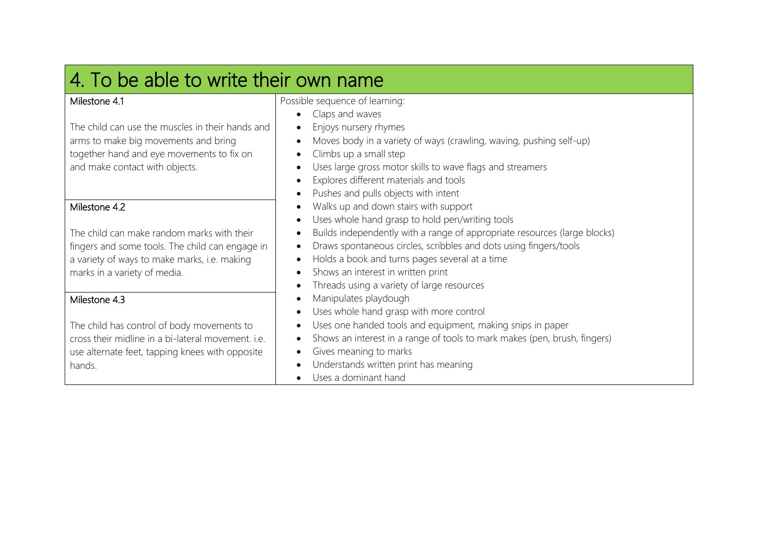| 4. To be able to write their own name                                             |                                                                                               |
|-----------------------------------------------------------------------------------|-----------------------------------------------------------------------------------------------|
| Milestone 4.1                                                                     | Possible sequence of learning:                                                                |
|                                                                                   | Claps and waves                                                                               |
| The child can use the muscles in their hands and                                  | Enjoys nursery rhymes                                                                         |
| arms to make big movements and bring<br>together hand and eye movements to fix on | Moves body in a variety of ways (crawling, waving, pushing self-up)<br>Climbs up a small step |
| and make contact with objects.                                                    | Uses large gross motor skills to wave flags and streamers                                     |
|                                                                                   | Explores different materials and tools                                                        |
|                                                                                   | Pushes and pulls objects with intent                                                          |
| Milestone 4.2                                                                     | Walks up and down stairs with support                                                         |
|                                                                                   | Uses whole hand grasp to hold pen/writing tools                                               |
| The child can make random marks with their                                        | Builds independently with a range of appropriate resources (large blocks)                     |
| fingers and some tools. The child can engage in                                   | Draws spontaneous circles, scribbles and dots using fingers/tools                             |
| a variety of ways to make marks, i.e. making                                      | Holds a book and turns pages several at a time                                                |
| marks in a variety of media.                                                      | Shows an interest in written print                                                            |
|                                                                                   | Threads using a variety of large resources                                                    |
| Milestone 4.3                                                                     | Manipulates playdough                                                                         |
|                                                                                   | Uses whole hand grasp with more control                                                       |
| The child has control of body movements to                                        | Uses one handed tools and equipment, making snips in paper                                    |
| cross their midline in a bi-lateral movement. i.e.                                | Shows an interest in a range of tools to mark makes (pen, brush, fingers)                     |
| use alternate feet, tapping knees with opposite                                   | Gives meaning to marks                                                                        |
| hands.                                                                            | Understands written print has meaning                                                         |
|                                                                                   | Uses a dominant hand                                                                          |